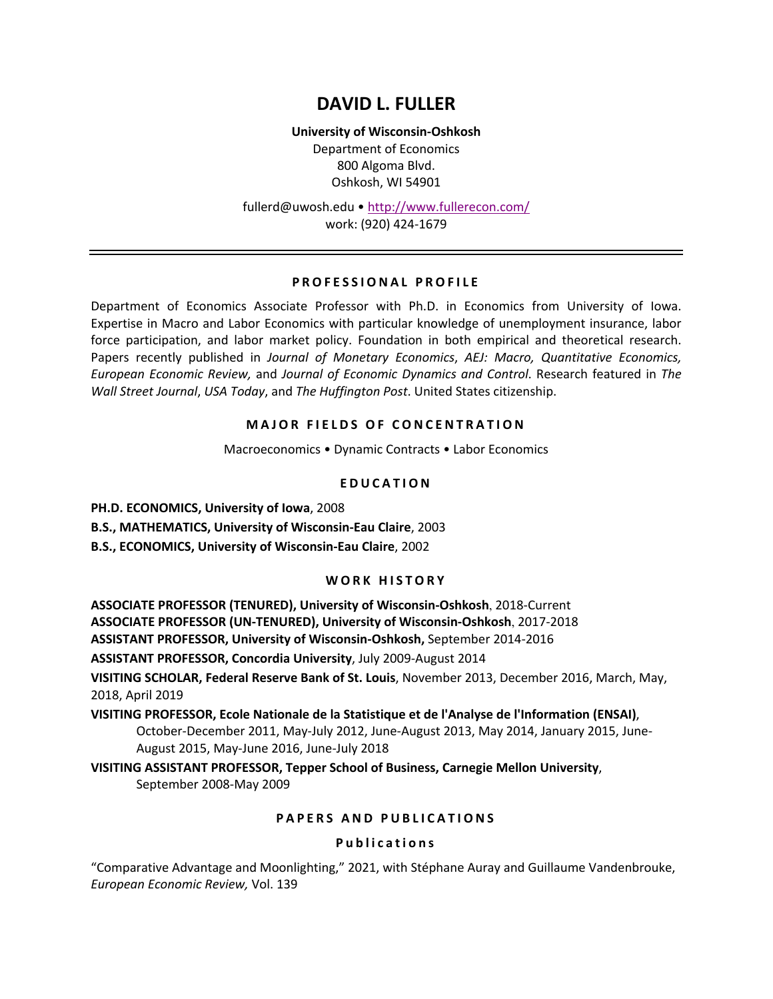# **DAVID L. FULLER**

**University of Wisconsin-Oshkosh** Department of Economics 800 Algoma Blvd. Oshkosh, WI 54901

fullerd@uwosh.edu • http://www.fullerecon.com/ work: (920) 424-1679

#### **PROFESSIONAL PROFILE**

Department of Economics Associate Professor with Ph.D. in Economics from University of Iowa. Expertise in Macro and Labor Economics with particular knowledge of unemployment insurance, labor force participation, and labor market policy. Foundation in both empirical and theoretical research. Papers recently published in *Journal of Monetary Economics*, *AEJ: Macro, Quantitative Economics, European Economic Review,* and *Journal of Economic Dynamics and Control*. Research featured in *The Wall Street Journal*, *USA Today*, and *The Huffington Post*. United States citizenship.

## **MAJOR FIELDS OF CONCENTRATION**

Macroeconomics • Dynamic Contracts • Labor Economics

## **EDUCATION**

**PH.D. ECONOMICS, University of Iowa**, 2008

**B.S., MATHEMATICS, University of Wisconsin-Eau Claire**, 2003

**B.S., ECONOMICS, University of Wisconsin-Eau Claire**, 2002

#### **WORK HISTORY**

**ASSOCIATE PROFESSOR (TENURED), University of Wisconsin-Oshkosh**, 2018-Current **ASSOCIATE PROFESSOR (UN-TENURED), University of Wisconsin-Oshkosh**, 2017-2018 **ASSISTANT PROFESSOR, University of Wisconsin-Oshkosh,** September 2014-2016

**ASSISTANT PROFESSOR, Concordia University**, July 2009-August 2014

**VISITING SCHOLAR, Federal Reserve Bank of St. Louis**, November 2013, December 2016, March, May, 2018, April 2019

**VISITING PROFESSOR, Ecole Nationale de la Statistique et de l'Analyse de l'Information (ENSAI)**, October-December 2011, May-July 2012, June-August 2013, May 2014, January 2015, June-August 2015, May-June 2016, June-July 2018

**VISITING ASSISTANT PROFESSOR, Tepper School of Business, Carnegie Mellon University**, September 2008-May 2009

## **PAPERS AND PUBLICATIONS**

#### **Publications**

"Comparative Advantage and Moonlighting," 2021, with Stéphane Auray and Guillaume Vandenbrouke, *European Economic Review,* Vol. 139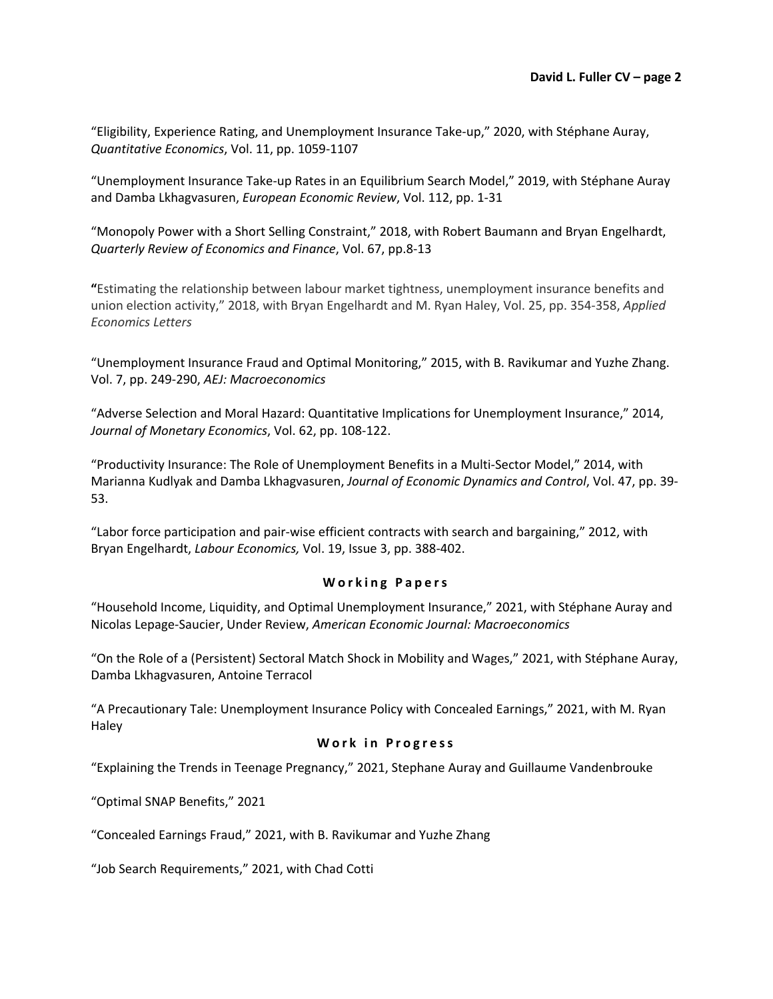"Eligibility, Experience Rating, and Unemployment Insurance Take-up," 2020, with Stéphane Auray, *Quantitative Economics*, Vol. 11, pp. 1059-1107

"Unemployment Insurance Take-up Rates in an Equilibrium Search Model," 2019, with Stéphane Auray and Damba Lkhagvasuren, *European Economic Review*, Vol. 112, pp. 1-31

"Monopoly Power with a Short Selling Constraint," 2018, with Robert Baumann and Bryan Engelhardt, *Quarterly Review of Economics and Finance*, Vol. 67, pp.8-13

**"**Estimating the relationship between labour market tightness, unemployment insurance benefits and union election activity," 2018, with Bryan Engelhardt and M. Ryan Haley, Vol. 25, pp. 354-358, *Applied Economics Letters*

"Unemployment Insurance Fraud and Optimal Monitoring," 2015, with B. Ravikumar and Yuzhe Zhang. Vol. 7, pp. 249-290, *AEJ: Macroeconomics*

"Adverse Selection and Moral Hazard: Quantitative Implications for Unemployment Insurance," 2014, *Journal of Monetary Economics*, Vol. 62, pp. 108-122.

"Productivity Insurance: The Role of Unemployment Benefits in a Multi-Sector Model," 2014, with Marianna Kudlyak and Damba Lkhagvasuren, *Journal of Economic Dynamics and Control*, Vol. 47, pp. 39- 53.

"Labor force participation and pair-wise efficient contracts with search and bargaining," 2012, with Bryan Engelhardt, *Labour Economics,* Vol. 19, Issue 3, pp. 388-402.

## **Working Papers**

"Household Income, Liquidity, and Optimal Unemployment Insurance," 2021, with Stéphane Auray and Nicolas Lepage-Saucier, Under Review, *American Economic Journal: Macroeconomics*

"On the Role of a (Persistent) Sectoral Match Shock in Mobility and Wages," 2021, with Stéphane Auray, Damba Lkhagvasuren, Antoine Terracol

"A Precautionary Tale: Unemployment Insurance Policy with Concealed Earnings," 2021, with M. Ryan Haley

## **Work in Progress**

"Explaining the Trends in Teenage Pregnancy," 2021, Stephane Auray and Guillaume Vandenbrouke

"Optimal SNAP Benefits," 2021

"Concealed Earnings Fraud," 2021, with B. Ravikumar and Yuzhe Zhang

"Job Search Requirements," 2021, with Chad Cotti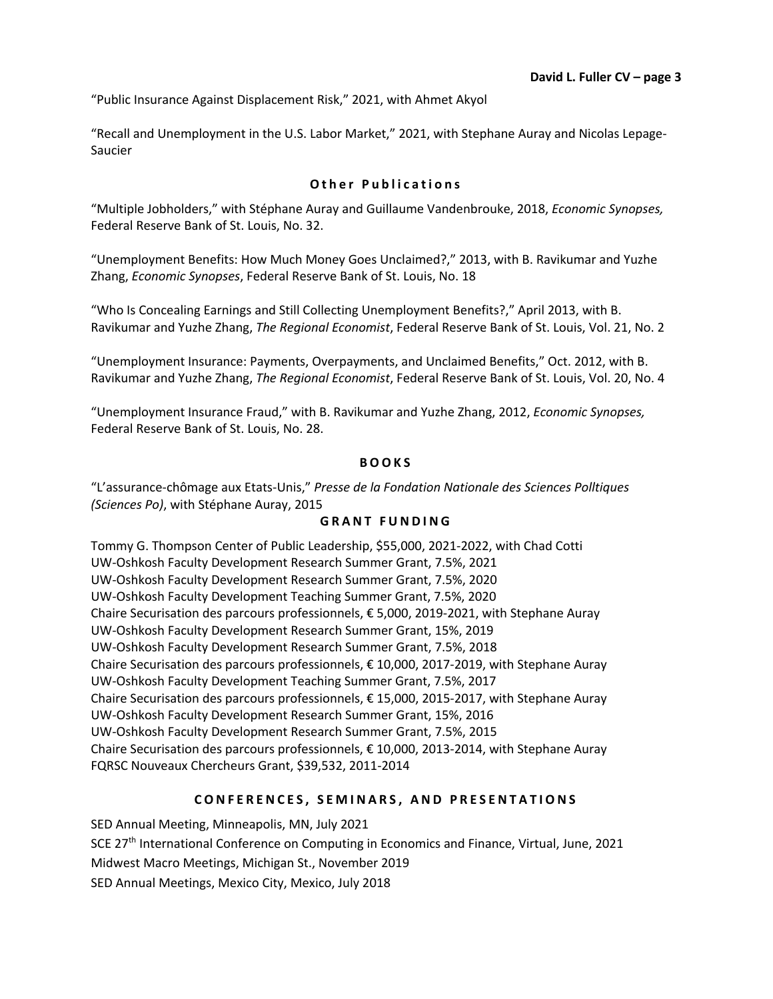"Public Insurance Against Displacement Risk," 2021, with Ahmet Akyol

"Recall and Unemployment in the U.S. Labor Market," 2021, with Stephane Auray and Nicolas Lepage-Saucier

# **Other Publication s**

"Multiple Jobholders," with Stéphane Auray and Guillaume Vandenbrouke, 2018, *Economic Synopses,*  Federal Reserve Bank of St. Louis, No. 32.

"Unemployment Benefits: How Much Money Goes Unclaimed?," 2013, with B. Ravikumar and Yuzhe Zhang, *Economic Synopses*, Federal Reserve Bank of St. Louis, No. 18

"Who Is Concealing Earnings and Still Collecting Unemployment Benefits?," April 2013, with B. Ravikumar and Yuzhe Zhang, *The Regional Economist*, Federal Reserve Bank of St. Louis, Vol. 21, No. 2

"Unemployment Insurance: Payments, Overpayments, and Unclaimed Benefits," Oct. 2012, with B. Ravikumar and Yuzhe Zhang, *The Regional Economist*, Federal Reserve Bank of St. Louis, Vol. 20, No. 4

"Unemployment Insurance Fraud," with B. Ravikumar and Yuzhe Zhang, 2012, *Economic Synopses,*  Federal Reserve Bank of St. Louis, No. 28.

#### **BOOKS**

"L'assurance-chômage aux Etats-Unis," *Presse de la Fondation Nationale des Sciences Polltiques (Sciences Po)*, with Stéphane Auray, 2015

#### **GRANT FUNDING**

Tommy G. Thompson Center of Public Leadership, \$55,000, 2021-2022, with Chad Cotti UW-Oshkosh Faculty Development Research Summer Grant, 7.5%, 2021 UW-Oshkosh Faculty Development Research Summer Grant, 7.5%, 2020 UW-Oshkosh Faculty Development Teaching Summer Grant, 7.5%, 2020 Chaire Securisation des parcours professionnels, € 5,000, 2019-2021, with Stephane Auray UW-Oshkosh Faculty Development Research Summer Grant, 15%, 2019 UW-Oshkosh Faculty Development Research Summer Grant, 7.5%, 2018 Chaire Securisation des parcours professionnels, € 10,000, 2017-2019, with Stephane Auray UW-Oshkosh Faculty Development Teaching Summer Grant, 7.5%, 2017 Chaire Securisation des parcours professionnels, € 15,000, 2015-2017, with Stephane Auray UW-Oshkosh Faculty Development Research Summer Grant, 15%, 2016 UW-Oshkosh Faculty Development Research Summer Grant, 7.5%, 2015 Chaire Securisation des parcours professionnels, € 10,000, 2013-2014, with Stephane Auray FQRSC Nouveaux Chercheurs Grant, \$39,532, 2011-2014

## **CONFER ENCES, SEMINARS , AN D PRESENTATIONS**

SED Annual Meeting, Minneapolis, MN, July 2021 SCE 27<sup>th</sup> International Conference on Computing in Economics and Finance, Virtual, June, 2021 Midwest Macro Meetings, Michigan St., November 2019 SED Annual Meetings, Mexico City, Mexico, July 2018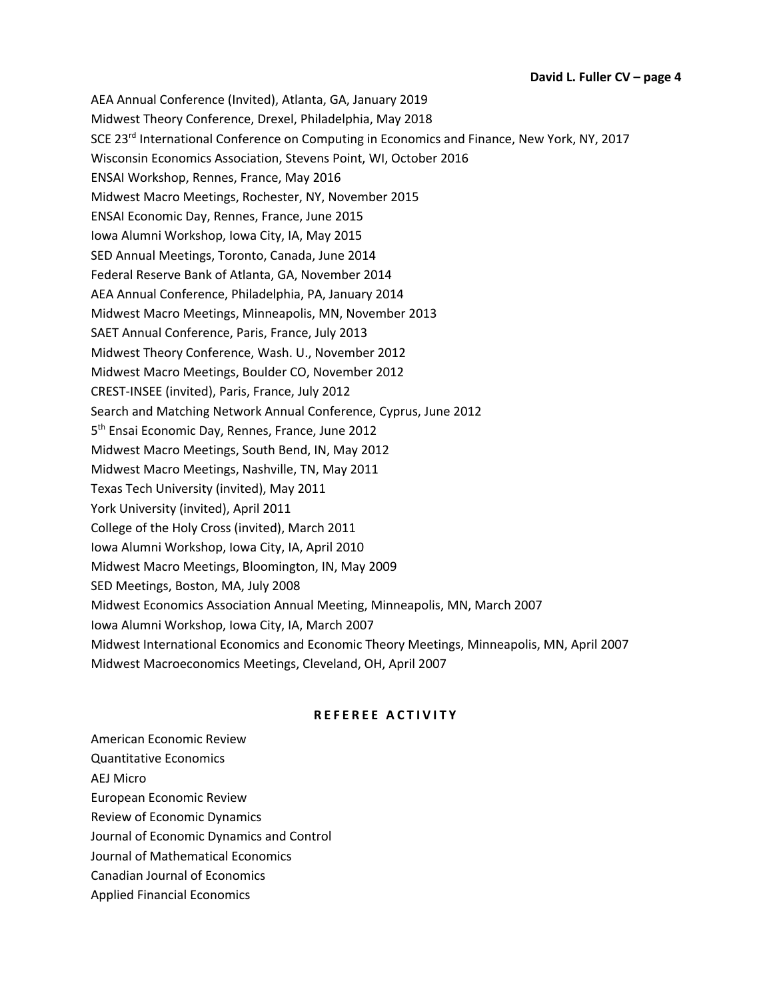AEA Annual Conference (Invited), Atlanta, GA, January 2019 Midwest Theory Conference, Drexel, Philadelphia, May 2018 SCE 23<sup>rd</sup> International Conference on Computing in Economics and Finance, New York, NY, 2017 Wisconsin Economics Association, Stevens Point, WI, October 2016 ENSAI Workshop, Rennes, France, May 2016 Midwest Macro Meetings, Rochester, NY, November 2015 ENSAI Economic Day, Rennes, France, June 2015 Iowa Alumni Workshop, Iowa City, IA, May 2015 SED Annual Meetings, Toronto, Canada, June 2014 Federal Reserve Bank of Atlanta, GA, November 2014 AEA Annual Conference, Philadelphia, PA, January 2014 Midwest Macro Meetings, Minneapolis, MN, November 2013 SAET Annual Conference, Paris, France, July 2013 Midwest Theory Conference, Wash. U., November 2012 Midwest Macro Meetings, Boulder CO, November 2012 CREST-INSEE (invited), Paris, France, July 2012 Search and Matching Network Annual Conference, Cyprus, June 2012 5<sup>th</sup> Ensai Economic Day, Rennes, France, June 2012 Midwest Macro Meetings, South Bend, IN, May 2012 Midwest Macro Meetings, Nashville, TN, May 2011 Texas Tech University (invited), May 2011 York University (invited), April 2011 College of the Holy Cross (invited), March 2011 Iowa Alumni Workshop, Iowa City, IA, April 2010 Midwest Macro Meetings, Bloomington, IN, May 2009 SED Meetings, Boston, MA, July 2008 Midwest Economics Association Annual Meeting, Minneapolis, MN, March 2007 Iowa Alumni Workshop, Iowa City, IA, March 2007 Midwest International Economics and Economic Theory Meetings, Minneapolis, MN, April 2007 Midwest Macroeconomics Meetings, Cleveland, OH, April 2007

# **REFEREE ACTIVITY**

American Economic Review Quantitative Economics

AEJ Micro

European Economic Review

Review of Economic Dynamics

Journal of Economic Dynamics and Control

- Journal of Mathematical Economics
- Canadian Journal of Economics
- Applied Financial Economics